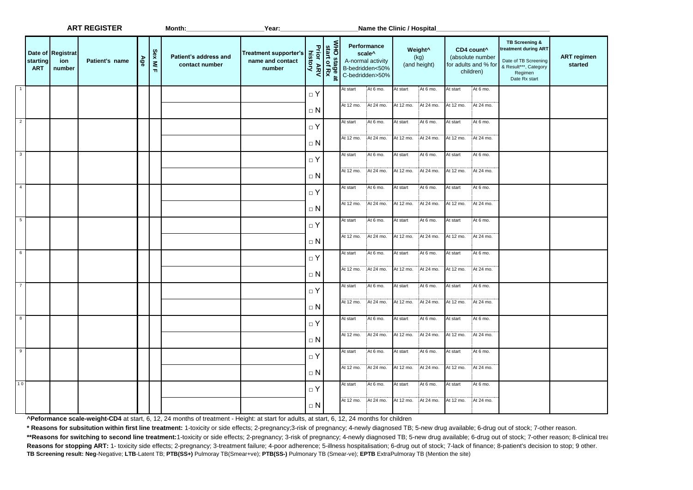|                         |                        |                                    | <b>ART REGISTER</b> |     |          | Month:                                  | _Year:                                                     |                                                     | Name the Clinic / Hospital                                                                   |                       |                       |                                             |                       |                                                                                 |                                                                                                                    |                               |
|-------------------------|------------------------|------------------------------------|---------------------|-----|----------|-----------------------------------------|------------------------------------------------------------|-----------------------------------------------------|----------------------------------------------------------------------------------------------|-----------------------|-----------------------|---------------------------------------------|-----------------------|---------------------------------------------------------------------------------|--------------------------------------------------------------------------------------------------------------------|-------------------------------|
|                         | starting<br><b>ART</b> | Date of Registrat<br>ion<br>number | Patient's name      | Age | Sex M/ F | Patient's address and<br>contact number | <b>Treatment supporter's</b><br>name and contact<br>number | WHO stage at<br>start of Rx<br>Prior ARV<br>history | Performance<br>scale <sup>^</sup><br>A-normal activity<br>B-bedridden<50%<br>C-bedridden>50% |                       |                       | Weight <sup>^</sup><br>(kg)<br>(and height) |                       | CD4 count <sup>^</sup><br>(absolute number<br>for adults and % for<br>children) | TB Screening &<br>reatment during ART<br>Date of TB Screening<br>& Result***, Category<br>Regimen<br>Date Rx start | <b>ART regimen</b><br>started |
| $\overline{1}$          |                        |                                    |                     |     |          |                                         |                                                            | $\Box$ Y<br>$\Box$ N                                | At start<br>At 12 mo.                                                                        | At 6 mo.<br>At 24 mo. | At start<br>At 12 mo. | At 6 mo.<br>At 24 mo.                       | At start<br>At 12 mo. | At 6 mo.<br>At 24 mo.                                                           |                                                                                                                    |                               |
| $\overline{2}$          |                        |                                    |                     |     |          |                                         |                                                            | $\Box$ Y<br>$\Box$ N                                | At start<br>At 12 mo.                                                                        | At 6 mo.<br>At 24 mo. | At start<br>At 12 mo. | At 6 mo.<br>At 24 mo.                       | At start<br>At 12 mo. | At 6 mo.<br>At 24 mo.                                                           |                                                                                                                    |                               |
| $\overline{\mathbf{3}}$ |                        |                                    |                     |     |          |                                         |                                                            | $\Box$ Y<br>$\Box$ N                                | At start<br>At 12 mo.                                                                        | At 6 mo.<br>At 24 mo. | At start<br>At 12 mo. | At 6 mo.<br>At 24 mo.                       | At start<br>At 12 mo. | At 6 mo.<br>At 24 mo.                                                           |                                                                                                                    |                               |
| $\overline{4}$          |                        |                                    |                     |     |          |                                         |                                                            | $\Box$ Y<br>$\Box$ N                                | At start<br>At 12 mo.                                                                        | At 6 mo.<br>At 24 mo. | At start<br>At 12 mo. | At 6 mo.<br>At 24 mo.                       | At start<br>At 12 mo. | At 6 mo.<br>At 24 mo.                                                           |                                                                                                                    |                               |
| $-5$                    |                        |                                    |                     |     |          |                                         |                                                            | $\Box$ Y<br>$\Box$ N                                | At start<br>At 12 mo.                                                                        | At 6 mo.<br>At 24 mo. | At start<br>At 12 mo. | At 6 mo.<br>At 24 mo.                       | At start<br>At 12 mo. | At 6 mo.<br>At 24 mo.                                                           |                                                                                                                    |                               |
| $6\overline{6}$         |                        |                                    |                     |     |          |                                         |                                                            | $\Box$ Y<br>$\Box$ N                                | At start<br>At 12 mo.                                                                        | At 6 mo.<br>At 24 mo. | At start<br>At 12 mo. | At 6 mo.<br>At 24 mo.                       | At start<br>At 12 mo. | At 6 mo.<br>At 24 mo.                                                           |                                                                                                                    |                               |
| $\overline{7}$          |                        |                                    |                     |     |          |                                         |                                                            | $\Box$ Y<br>$\Box$ N                                | At start<br>At 12 mo.                                                                        | At 6 mo.<br>At 24 mo. | At start<br>At 12 mo. | At 6 mo.<br>At 24 mo.                       | At start<br>At 12 mo. | At 6 mo.<br>At 24 mo.                                                           |                                                                                                                    |                               |
| $_{8}$                  |                        |                                    |                     |     |          |                                         |                                                            | $\Box$ Y<br>$\Box$ N                                | At start<br>At 12 mo.                                                                        | At 6 mo.<br>At 24 mo. | At start<br>At 12 mo. | At 6 mo.<br>At 24 mo.                       | At start<br>At 12 mo. | At 6 mo.<br>At 24 mo.                                                           |                                                                                                                    |                               |
| $\overline{9}$          |                        |                                    |                     |     |          |                                         |                                                            | $\Box$ Y<br>$\Box$ N                                | At start<br>At 12 mo.                                                                        | At 6 mo.<br>At 24 mo. | At start<br>At 12 mo. | At 6 mo.<br>At 24 mo.                       | At start<br>At 12 mo. | At 6 mo.<br>At 24 mo.                                                           |                                                                                                                    |                               |
| 10                      |                        |                                    |                     |     |          |                                         |                                                            | $\Box$ Y<br>$\Box$ N                                | At start<br>At 12 mo.                                                                        | At 6 mo.<br>At 24 mo. | At start<br>At 12 mo. | At 6 mo.<br>At 24 mo.                       | At start<br>At 12 mo. | At 6 mo.<br>At 24 mo.                                                           |                                                                                                                    |                               |

**^Peformance scale-weight-CD4** at start, 6, 12, 24 months of treatment - Height: at start for adults, at start, 6, 12, 24 months for children

**\* Reasons for subsitution within first line treatment:** 1-toxicity or side effects; 2-pregnancy;3-risk of pregnancy; 4-newly diagnosed TB; 5-new drug available; 6-drug out of stock; 7-other reason.

\*\*Reasons for switching to second line treatment:1-toxicity or side effects; 2-pregnancy; 3-risk of pregnancy; 4-newly diagnosed TB; 5-new drug available; 6-drug out of stock; 7-other reason; 8-clinical treat Reasons for stopping ART: 1- toxicity side effects; 2-pregnancy; 3-treatment failure; 4-poor adherence; 5-illness hospitalisation; 6-drug out of stock; 7-lack of finance; 8-patient's decision to stop; 9 other. **TB Screening result: Neg**-Negative; **LTB**-Latent TB; **PTB(SS+)** Pulmoray TB(Smear+ve); **PTB(SS-)** Pulmonary TB (Smear-ve); **EPTB** ExtraPulmoray TB (Mention the site)